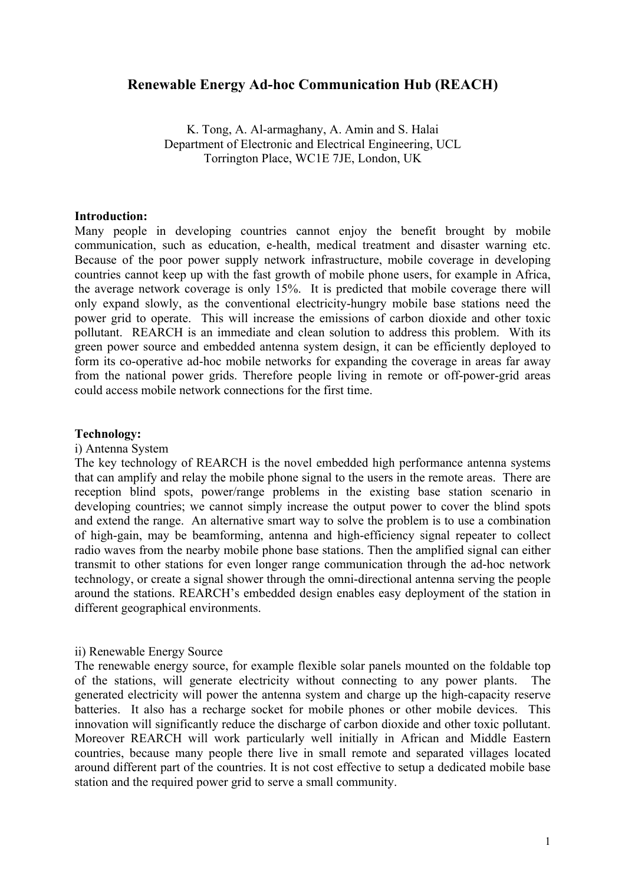# **Renewable Energy Ad-hoc Communication Hub (REACH)**

K. Tong, A. Al-armaghany, A. Amin and S. Halai Department of Electronic and Electrical Engineering, UCL Torrington Place, WC1E 7JE, London, UK

#### **Introduction:**

Many people in developing countries cannot enjoy the benefit brought by mobile communication, such as education, e-health, medical treatment and disaster warning etc. Because of the poor power supply network infrastructure, mobile coverage in developing countries cannot keep up with the fast growth of mobile phone users, for example in Africa, the average network coverage is only 15%. It is predicted that mobile coverage there will only expand slowly, as the conventional electricity-hungry mobile base stations need the power grid to operate. This will increase the emissions of carbon dioxide and other toxic pollutant. REARCH is an immediate and clean solution to address this problem. With its green power source and embedded antenna system design, it can be efficiently deployed to form its co-operative ad-hoc mobile networks for expanding the coverage in areas far away from the national power grids. Therefore people living in remote or off-power-grid areas could access mobile network connections for the first time.

### **Technology:**

#### i) Antenna System

The key technology of REARCH is the novel embedded high performance antenna systems that can amplify and relay the mobile phone signal to the users in the remote areas. There are reception blind spots, power/range problems in the existing base station scenario in developing countries; we cannot simply increase the output power to cover the blind spots and extend the range. An alternative smart way to solve the problem is to use a combination of high-gain, may be beamforming, antenna and high-efficiency signal repeater to collect radio waves from the nearby mobile phone base stations. Then the amplified signal can either transmit to other stations for even longer range communication through the ad-hoc network technology, or create a signal shower through the omni-directional antenna serving the people around the stations. REARCH's embedded design enables easy deployment of the station in different geographical environments.

#### ii) Renewable Energy Source

The renewable energy source, for example flexible solar panels mounted on the foldable top of the stations, will generate electricity without connecting to any power plants. The generated electricity will power the antenna system and charge up the high-capacity reserve batteries. It also has a recharge socket for mobile phones or other mobile devices. This innovation will significantly reduce the discharge of carbon dioxide and other toxic pollutant. Moreover REARCH will work particularly well initially in African and Middle Eastern countries, because many people there live in small remote and separated villages located around different part of the countries. It is not cost effective to setup a dedicated mobile base station and the required power grid to serve a small community.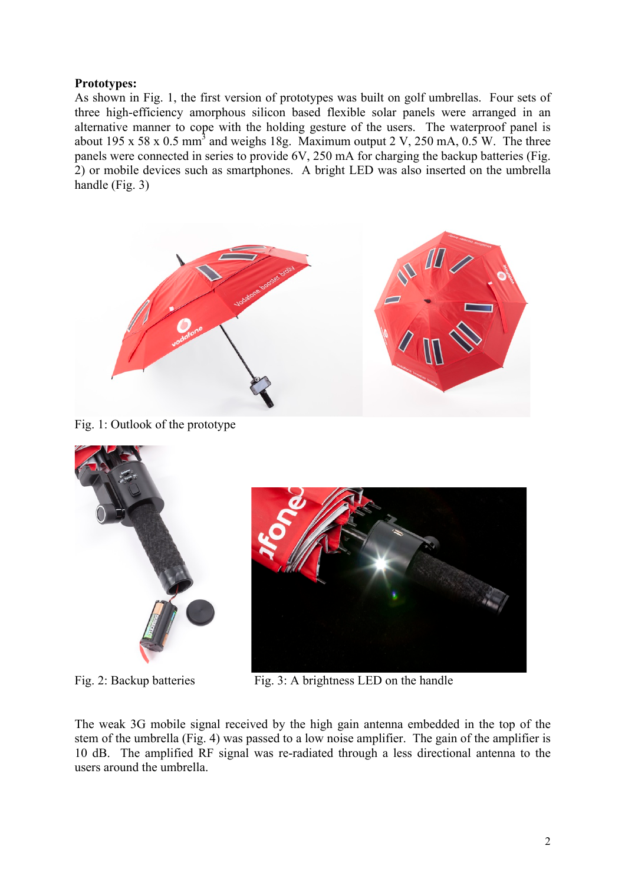### **Prototypes:**

As shown in Fig. 1, the first version of prototypes was built on golf umbrellas. Four sets of three high-efficiency amorphous silicon based flexible solar panels were arranged in an alternative manner to cope with the holding gesture of the users. The waterproof panel is about 195 x 58 x 0.5 mm<sup>3</sup> and weighs 18g. Maximum output 2 V, 250 mA,  $0.5$  W. The three panels were connected in series to provide 6V, 250 mA for charging the backup batteries (Fig. 2) or mobile devices such as smartphones. A bright LED was also inserted on the umbrella handle (Fig. 3)



Fig. 1: Outlook of the prototype





Fig. 2: Backup batteries Fig. 3: A brightness LED on the handle

The weak 3G mobile signal received by the high gain antenna embedded in the top of the stem of the umbrella (Fig. 4) was passed to a low noise amplifier. The gain of the amplifier is 10 dB. The amplified RF signal was re-radiated through a less directional antenna to the users around the umbrella.